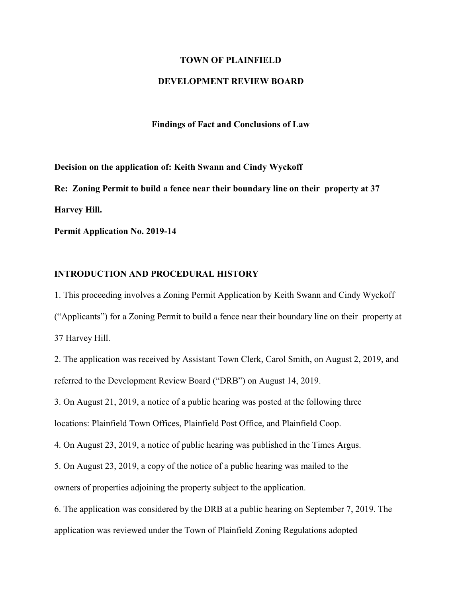#### **TOWN OF PLAINFIELD**

### **DEVELOPMENT REVIEW BOARD**

## **Findings of Fact and Conclusions of Law**

**Decision on the application of: Keith Swann and Cindy Wyckoff Re: Zoning Permit to build a fence near their boundary line on their property at 37 Harvey Hill.**

**Permit Application No. 2019-14**

# **INTRODUCTION AND PROCEDURAL HISTORY**

1. This proceeding involves a Zoning Permit Application by Keith Swann and Cindy Wyckoff ("Applicants") for a Zoning Permit to build a fence near their boundary line on their property at 37 Harvey Hill.

2. The application was received by Assistant Town Clerk, Carol Smith, on August 2, 2019, and referred to the Development Review Board ("DRB") on August 14, 2019.

3. On August 21, 2019, a notice of a public hearing was posted at the following three locations: Plainfield Town Offices, Plainfield Post Office, and Plainfield Coop.

4. On August 23, 2019, a notice of public hearing was published in the Times Argus.

5. On August 23, 2019, a copy of the notice of a public hearing was mailed to the

owners of properties adjoining the property subject to the application.

6. The application was considered by the DRB at a public hearing on September 7, 2019. The application was reviewed under the Town of Plainfield Zoning Regulations adopted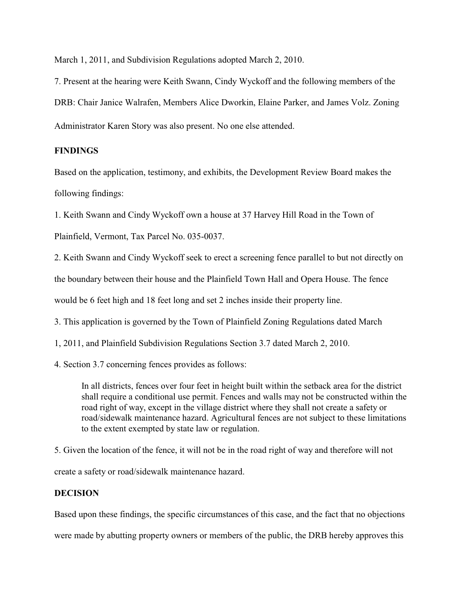March 1, 2011, and Subdivision Regulations adopted March 2, 2010.

7. Present at the hearing were Keith Swann, Cindy Wyckoff and the following members of the DRB: Chair Janice Walrafen, Members Alice Dworkin, Elaine Parker, and James Volz. Zoning Administrator Karen Story was also present. No one else attended.

## **FINDINGS**

Based on the application, testimony, and exhibits, the Development Review Board makes the following findings:

1. Keith Swann and Cindy Wyckoff own a house at 37 Harvey Hill Road in the Town of

Plainfield, Vermont, Tax Parcel No. 035-0037.

2. Keith Swann and Cindy Wyckoff seek to erect a screening fence parallel to but not directly on

the boundary between their house and the Plainfield Town Hall and Opera House. The fence

would be 6 feet high and 18 feet long and set 2 inches inside their property line.

3. This application is governed by the Town of Plainfield Zoning Regulations dated March

1, 2011, and Plainfield Subdivision Regulations Section 3.7 dated March 2, 2010.

4. Section 3.7 concerning fences provides as follows:

In all districts, fences over four feet in height built within the setback area for the district shall require a conditional use permit. Fences and walls may not be constructed within the road right of way, except in the village district where they shall not create a safety or road/sidewalk maintenance hazard. Agricultural fences are not subject to these limitations to the extent exempted by state law or regulation.

5. Given the location of the fence, it will not be in the road right of way and therefore will not create a safety or road/sidewalk maintenance hazard.

## **DECISION**

Based upon these findings, the specific circumstances of this case, and the fact that no objections

were made by abutting property owners or members of the public, the DRB hereby approves this